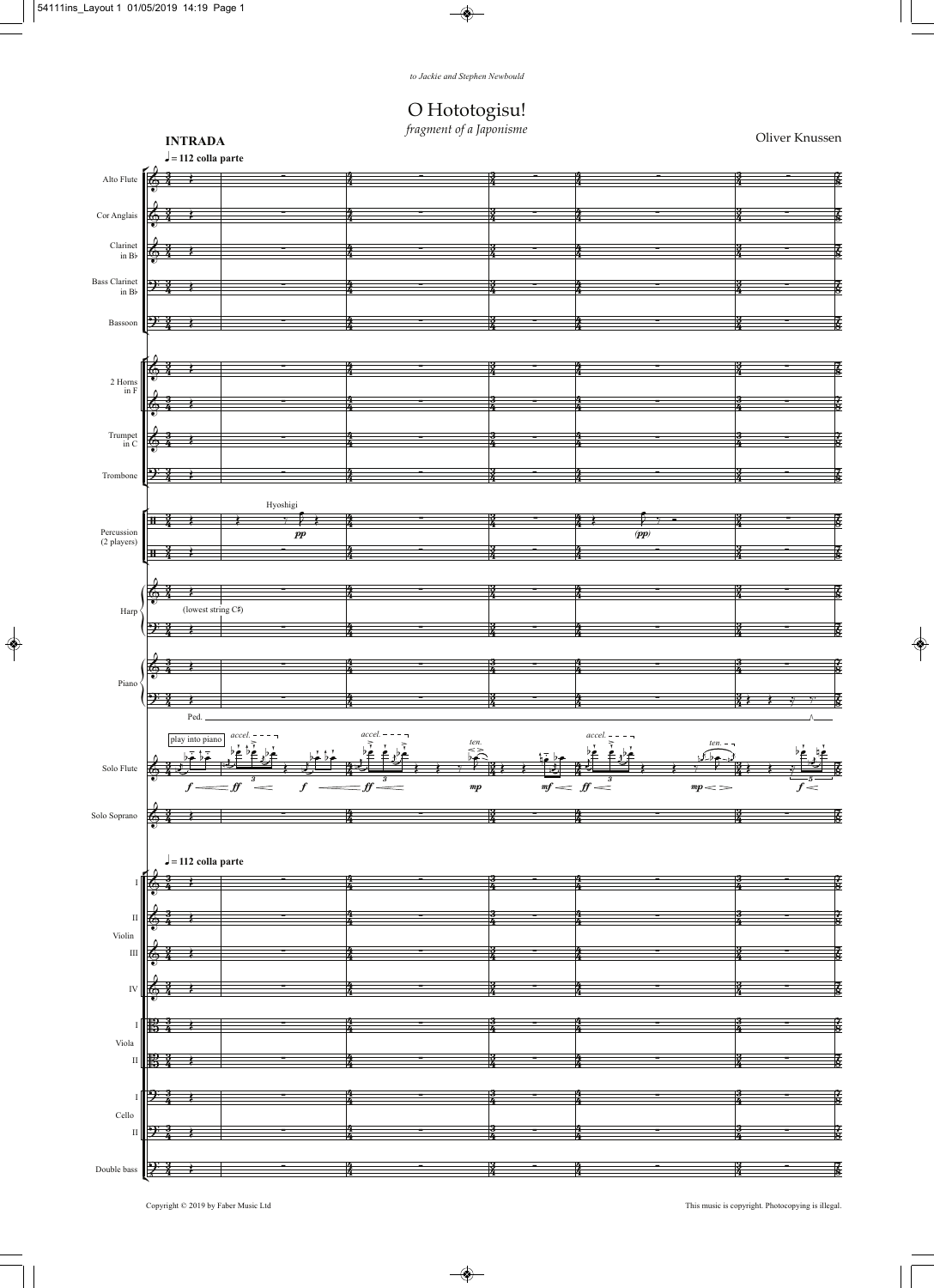## O Hototogisu!<br>fragment of a Japonisme

Oliver Knussen

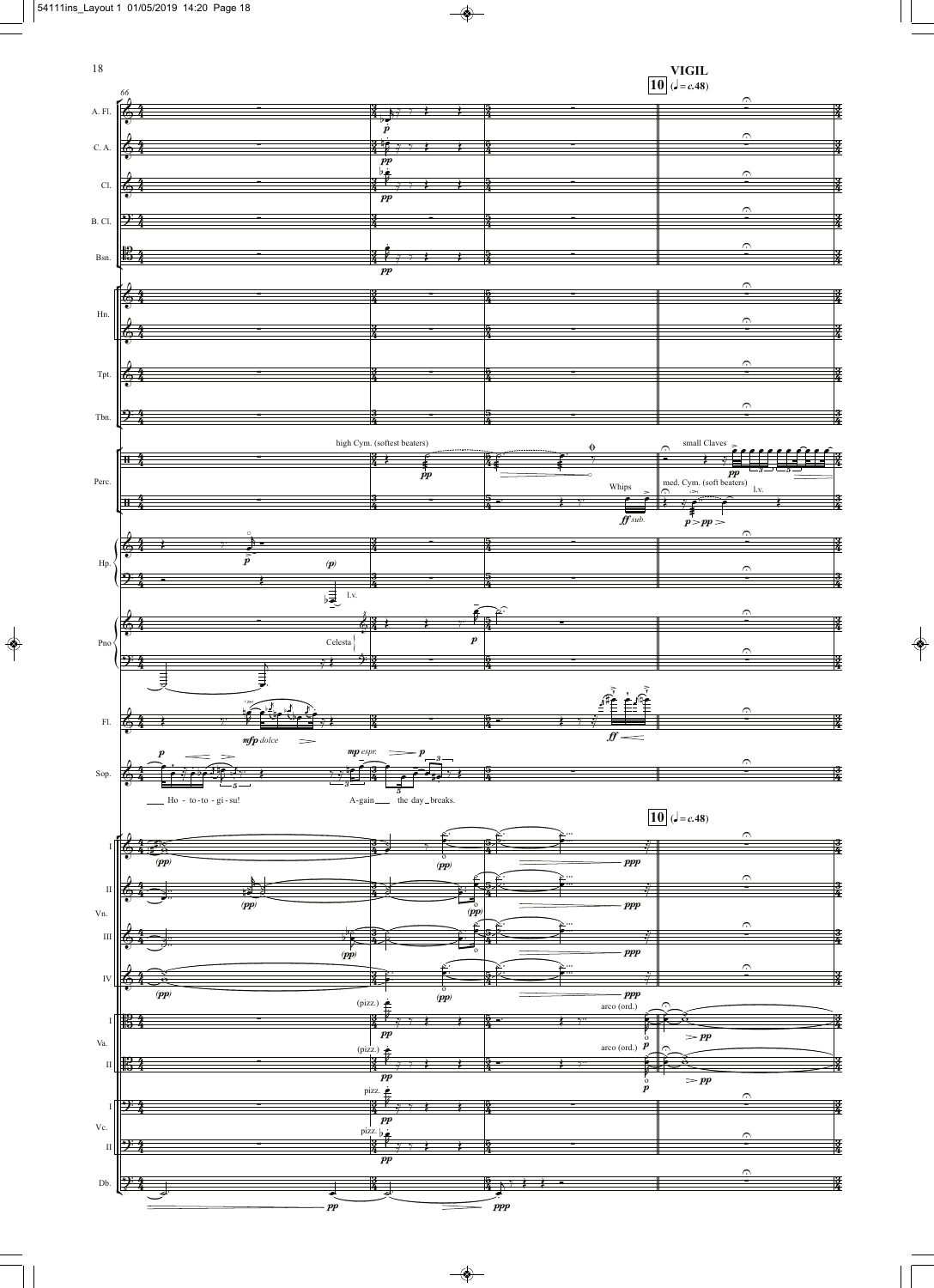